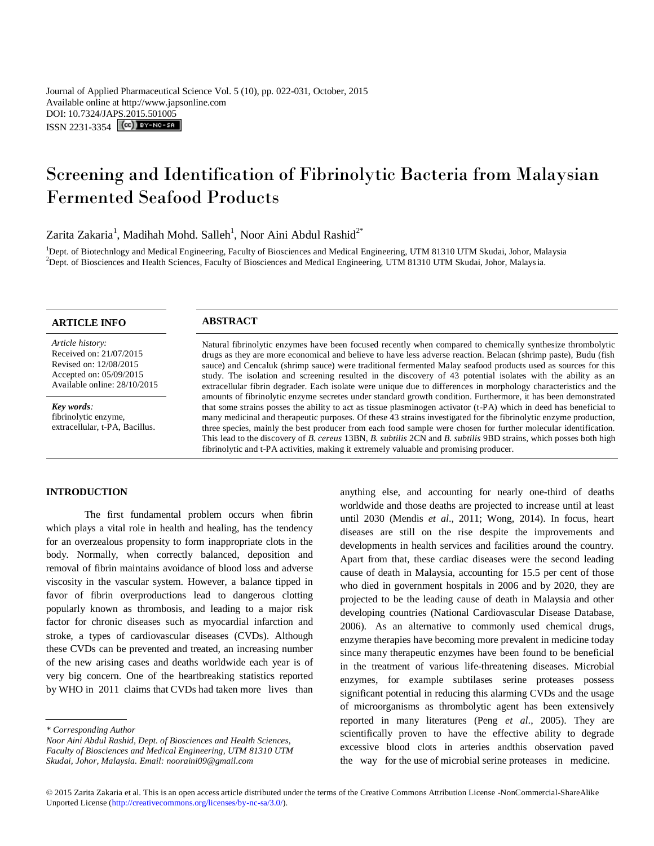Journal of Applied Pharmaceutical Science Vol. 5 (10), pp. 022-031, October, 2015 Available online at http://www.japsonline.com DOI: 10.7324/JA[PS.2015.501005](http://creativecommons.org/licenses/by-nc-sa/3.0/) ISSN 2231-3354 **(cc)** BY-NO-SA

# Screening and Identification of Fibrinolytic Bacteria from Malaysian Fermented Seafood Products

Zarita Zakaria<sup>1</sup>, Madihah Mohd. Salleh<sup>1</sup>, Noor Aini Abdul Rashid<sup>2\*</sup>

<sup>1</sup>Dept. of Biotechnlogy and Medical Engineering, Faculty of Biosciences and Medical Engineering, UTM 81310 UTM Skudai, Johor, Malaysia  $^{2}$ Dept. of Biosciences and Health Sciences, Faculty of Biosciences and Medical Engineering, UTM 81310 UTM Skudai, Johor, Malaysia.

# **ARTICLE INFO ABSTRACT**

*Article history:* Received on: 21/07/2015 Revised on: 12/08/2015 Accepted on: 05/09/2015 Available online: 28/10/2015

*Key words:*  fibrinolytic enzyme, extracellular, t-PA, Bacillus.

Natural fibrinolytic enzymes have been focused recently when compared to chemically synthesize thrombolytic drugs as they are more economical and believe to have less adverse reaction. Belacan (shrimp paste), Budu (fish sauce) and Cencaluk (shrimp sauce) were traditional fermented Malay seafood products used as sources for this study. The isolation and screening resulted in the discovery of 43 potential isolates with the ability as an extracellular fibrin degrader. Each isolate were unique due to differences in morphology characteristics and the amounts of fibrinolytic enzyme secretes under standard growth condition. Furthermore, it has been demonstrated that some strains posses the ability to act as tissue plasminogen activator (t-PA) which in deed has beneficial to many medicinal and therapeutic purposes. Of these 43 strains investigated for the fibrinolytic enzyme production, three species, mainly the best producer from each food sample were chosen for further molecular identification. This lead to the discovery of *B. cereus* 13BN, *B. subtilis* 2CN and *B. subtilis* 9BD strains, which posses both high fibrinolytic and t-PA activities, making it extremely valuable and promising producer.

# **INTRODUCTION**

The first fundamental problem occurs when fibrin which plays a vital role in health and healing, has the tendency for an overzealous propensity to form inappropriate clots in the body. Normally, when correctly balanced, deposition and removal of fibrin maintains avoidance of blood loss and adverse viscosity in the vascular system. However, a balance tipped in favor of fibrin overproductions lead to dangerous clotting popularly known as thrombosis, and leading to a major risk factor for chronic diseases such as myocardial infarction and stroke, a types of cardiovascular diseases (CVDs). Although these CVDs can be prevented and treated, an increasing number of the new arising cases and deaths worldwide each year is of very big concern. One of the heartbreaking statistics reported by WHO in 2011 claims that CVDs had taken more lives than

*Noor Aini Abdul Rashid, Dept. of Biosciences and Health Sciences, Faculty of Biosciences and Medical Engineering, UTM 81310 UTM Skudai, Johor, Malaysia. Email: nooraini09@gmail.com*

anything else, and accounting for nearly one-third of deaths worldwide and those deaths are projected to increase until at least until 2030 (Mendis *et al*., 2011; Wong, 2014). In focus, heart diseases are still on the rise despite the improvements and developments in health services and facilities around the country. Apart from that, these cardiac diseases were the second leading cause of death in Malaysia, accounting for 15.5 per cent of those who died in government hospitals in 2006 and by 2020, they are projected to be the leading cause of death in Malaysia and other developing countries (National Cardiovascular Disease Database, 2006). As an alternative to commonly used chemical drugs, enzyme therapies have becoming more prevalent in medicine today since many therapeutic enzymes have been found to be beneficial in the treatment of various life-threatening diseases. Microbial enzymes, for example subtilases serine proteases possess significant potential in reducing this alarming CVDs and the usage of microorganisms as thrombolytic agent has been extensively reported in many literatures (Peng *et al*., 2005). They are scientifically proven to have the effective ability to degrade excessive blood clots in arteries andthis observation paved the way for the use of microbial serine proteases in medicine.

*<sup>\*</sup> Corresponding Author*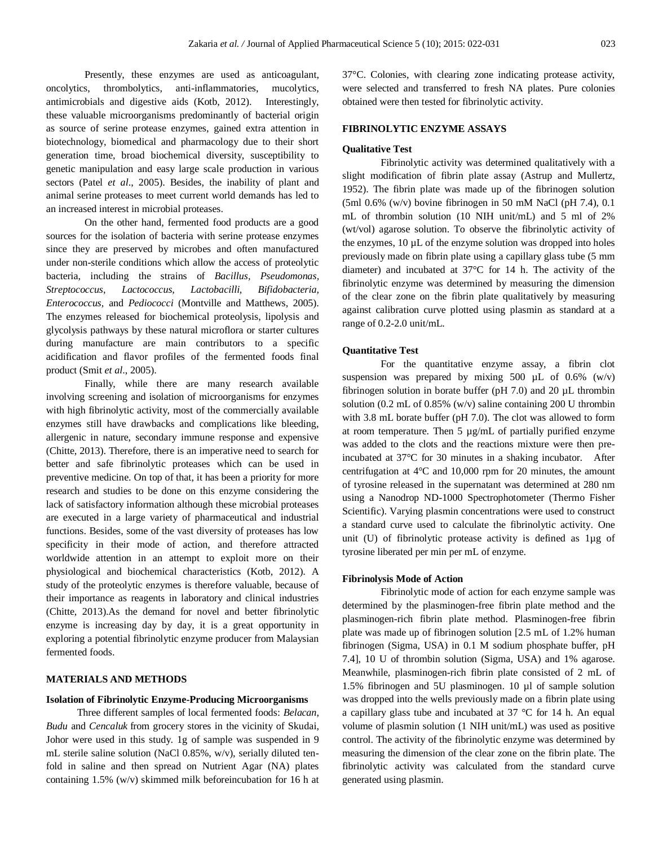Presently, these enzymes are used as anticoagulant, oncolytics, thrombolytics, anti-inflammatories, mucolytics, antimicrobials and digestive aids (Kotb, 2012). Interestingly, these valuable microorganisms predominantly of bacterial origin as source of serine protease enzymes, gained extra attention in biotechnology, biomedical and pharmacology due to their short generation time, broad biochemical diversity, susceptibility to genetic manipulation and easy large scale production in various sectors (Patel *et al*., 2005). Besides, the inability of plant and animal serine proteases to meet current world demands has led to an increased interest in microbial proteases.

On the other hand, fermented food products are a good sources for the isolation of bacteria with serine protease enzymes since they are preserved by microbes and often manufactured under non-sterile conditions which allow the access of proteolytic bacteria, including the strains of *Bacillus, Pseudomonas, Streptococcus*, *Lactococcus, Lactobacilli, Bifidobacteria, Enterococcus,* and *Pediococci* (Montville and Matthews, 2005). The enzymes released for biochemical proteolysis, lipolysis and glycolysis pathways by these natural microflora or starter cultures during manufacture are main contributors to a specific acidification and flavor profiles of the fermented foods final product (Smit *et al*., 2005).

Finally, while there are many research available involving screening and isolation of microorganisms for enzymes with high fibrinolytic activity, most of the commercially available enzymes still have drawbacks and complications like bleeding, allergenic in nature, secondary immune response and expensive (Chitte, 2013). Therefore, there is an imperative need to search for better and safe fibrinolytic proteases which can be used in preventive medicine. On top of that, it has been a priority for more research and studies to be done on this enzyme considering the lack of satisfactory information although these microbial proteases are executed in a large variety of pharmaceutical and industrial functions. Besides, some of the vast diversity of proteases has low specificity in their mode of action, and therefore attracted worldwide attention in an attempt to exploit more on their physiological and biochemical characteristics (Kotb, 2012). A study of the proteolytic enzymes is therefore valuable, because of their importance as reagents in laboratory and clinical industries (Chitte, 2013).As the demand for novel and better fibrinolytic enzyme is increasing day by day, it is a great opportunity in exploring a potential fibrinolytic enzyme producer from Malaysian fermented foods.

#### **MATERIALS AND METHODS**

#### **Isolation of Fibrinolytic Enzyme-Producing Microorganisms**

Three different samples of local fermented foods: *Belacan*, *Budu* and *Cencaluk* from grocery stores in the vicinity of Skudai, Johor were used in this study. 1g of sample was suspended in 9 mL sterile saline solution (NaCl 0.85%, w/v), serially diluted tenfold in saline and then spread on Nutrient Agar (NA) plates containing 1.5% (w/v) skimmed milk beforeincubation for 16 h at 37°C. Colonies, with clearing zone indicating protease activity, were selected and transferred to fresh NA plates. Pure colonies obtained were then tested for fibrinolytic activity.

# **FIBRINOLYTIC ENZYME ASSAYS**

#### **Qualitative Test**

Fibrinolytic activity was determined qualitatively with a slight modification of fibrin plate assay (Astrup and Mullertz, 1952). The fibrin plate was made up of the fibrinogen solution  $(5ml 0.6\%$  (w/v) bovine fibrinogen in 50 mM NaCl (pH 7.4), 0.1 mL of thrombin solution (10 NIH unit/mL) and 5 ml of 2% (wt/vol) agarose solution. To observe the fibrinolytic activity of the enzymes, 10 µL of the enzyme solution was dropped into holes previously made on fibrin plate using a capillary glass tube (5 mm diameter) and incubated at 37°C for 14 h. The activity of the fibrinolytic enzyme was determined by measuring the dimension of the clear zone on the fibrin plate qualitatively by measuring against calibration curve plotted using plasmin as standard at a range of 0.2-2.0 unit/mL.

#### **Quantitative Test**

For the quantitative enzyme assay, a fibrin clot suspension was prepared by mixing 500  $\mu$ L of 0.6% (w/v) fibrinogen solution in borate buffer (pH 7.0) and 20 µL thrombin solution (0.2 mL of 0.85% (w/v) saline containing 200 U thrombin with 3.8 mL borate buffer (pH 7.0). The clot was allowed to form at room temperature. Then 5 µg/mL of partially purified enzyme was added to the clots and the reactions mixture were then preincubated at 37°C for 30 minutes in a shaking incubator. After centrifugation at 4°C and 10,000 rpm for 20 minutes, the amount of tyrosine released in the supernatant was determined at 280 nm using a Nanodrop ND-1000 Spectrophotometer (Thermo Fisher Scientific). Varying plasmin concentrations were used to construct a standard curve used to calculate the fibrinolytic activity. One unit (U) of fibrinolytic protease activity is defined as 1µg of tyrosine liberated per min per mL of enzyme.

#### **Fibrinolysis Mode of Action**

Fibrinolytic mode of action for each enzyme sample was determined by the plasminogen-free fibrin plate method and the plasminogen-rich fibrin plate method. Plasminogen-free fibrin plate was made up of fibrinogen solution [2.5 mL of 1.2% human fibrinogen (Sigma, USA) in 0.1 M sodium phosphate buffer, pH 7.4], 10 U of thrombin solution (Sigma, USA) and 1% agarose. Meanwhile, plasminogen-rich fibrin plate consisted of 2 mL of 1.5% fibrinogen and 5U plasminogen. 10 µl of sample solution was dropped into the wells previously made on a fibrin plate using a capillary glass tube and incubated at 37 °C for 14 h. An equal volume of plasmin solution (1 NIH unit/mL) was used as positive control. The activity of the fibrinolytic enzyme was determined by measuring the dimension of the clear zone on the fibrin plate. The fibrinolytic activity was calculated from the standard curve generated using plasmin.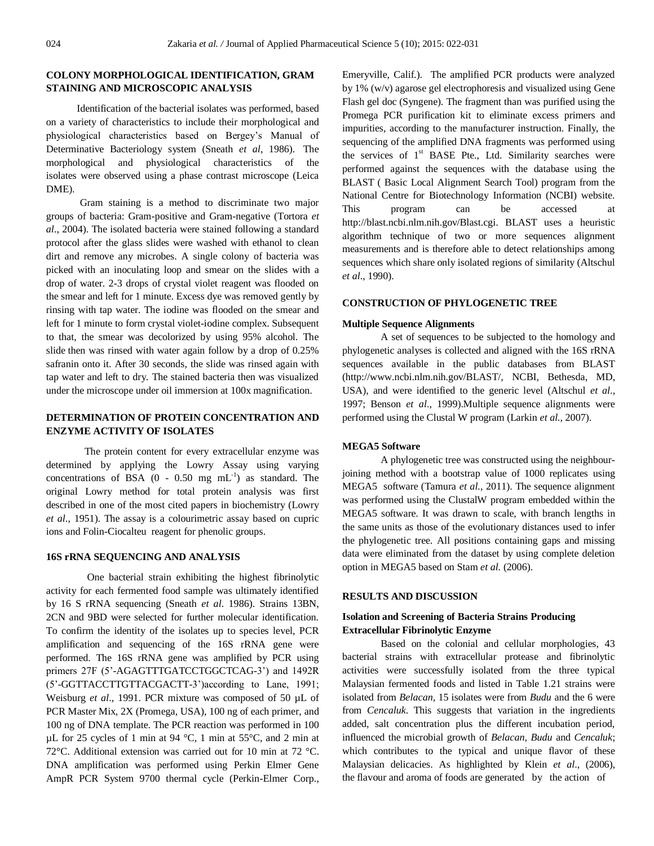# **COLONY MORPHOLOGICAL IDENTIFICATION, GRAM STAINING AND MICROSCOPIC ANALYSIS**

Identification of the bacterial isolates was performed, based on a variety of characteristics to include their morphological and physiological characteristics based on Bergey's Manual of Determinative Bacteriology system (Sneath *et al*, 1986). The morphological and physiological characteristics of the isolates were observed using a phase contrast microscope (Leica DME).

Gram staining is a method to discriminate two major groups of bacteria: Gram-positive and Gram-negative (Tortora *et al*., 2004). The isolated bacteria were stained following a standard protocol after the glass slides were washed with ethanol to clean dirt and remove any microbes. A single colony of bacteria was picked with an inoculating loop and smear on the slides with a drop of water. 2-3 drops of crystal violet reagent was flooded on the smear and left for 1 minute. Excess dye was removed gently by rinsing with tap water. The iodine was flooded on the smear and left for 1 minute to form crystal violet-iodine complex. Subsequent to that, the smear was decolorized by using 95% alcohol. The slide then was rinsed with water again follow by a drop of 0.25% safranin onto it. After 30 seconds, the slide was rinsed again with tap water and left to dry. The stained bacteria then was visualized under the microscope under oil immersion at 100x magnification.

# **DETERMINATION OF PROTEIN CONCENTRATION AND ENZYME ACTIVITY OF ISOLATES**

The protein content for every extracellular enzyme was determined by applying the Lowry Assay using varying concentrations of BSA  $(0 - 0.50$  mg  $mL^{-1}$ ) as standard. The original Lowry method for total protein analysis was first described in one of the most cited papers in biochemistry (Lowry *et al*., 1951). The assay is a colourimetric assay based on cupric ions and Folin-Ciocalteu reagent for phenolic groups.

# **16S rRNA SEQUENCING AND ANALYSIS**

One bacterial strain exhibiting the highest fibrinolytic activity for each fermented food sample was ultimately identified by 16 S rRNA sequencing (Sneath *et al*. 1986). Strains 13BN, 2CN and 9BD were selected for further molecular identification. To confirm the identity of the isolates up to species level, PCR amplification and sequencing of the 16S rRNA gene were performed. The 16S rRNA gene was amplified by PCR using primers 27F (5'-AGAGTTTGATCCTGGCTCAG-3') and 1492R (5'-GGTTACCTTGTTACGACTT-3')according to Lane, 1991; Weisburg *et al*., 1991. PCR mixture was composed of 50 µL of PCR Master Mix, 2X (Promega, USA), 100 ng of each primer, and 100 ng of DNA template. The PCR reaction was performed in 100 µL for 25 cycles of 1 min at 94 °C, 1 min at 55°C, and 2 min at 72°C. Additional extension was carried out for 10 min at 72 °C. DNA amplification was performed using Perkin Elmer Gene AmpR PCR System 9700 thermal cycle (Perkin-Elmer Corp., Emeryville, Calif.). The amplified PCR products were analyzed by 1% (w/v) agarose gel electrophoresis and visualized using Gene Flash gel doc (Syngene). The fragment than was purified using the Promega PCR purification kit to eliminate excess primers and impurities, according to the manufacturer instruction. Finally, the sequencing of the amplified DNA fragments was performed using the services of  $1<sup>st</sup>$  BASE Pte., Ltd. Similarity searches were performed against the sequences with the database using the BLAST ( Basic Local Alignment Search Tool) program from the National Centre for Biotechnology Information (NCBI) website. This program can be accessed at http://blast.ncbi.nlm.nih.gov/Blast.cgi. BLAST uses a heuristic algorithm technique of two or more sequences alignment measurements and is therefore able to detect relationships among sequences which share only isolated regions of similarity (Altschul *et al*., 1990).

# **CONSTRUCTION OF PHYLOGENETIC TREE**

## **Multiple Sequence Alignments**

A set of sequences to be subjected to the homology and phylogenetic analyses is collected and aligned with the 16S rRNA sequences available in the public databases from BLAST (http://www.ncbi.nlm.nih.gov/BLAST/, NCBI, Bethesda, MD, USA), and were identified to the generic level (Altschul *et al*., 1997; Benson *et al*., 1999).Multiple sequence alignments were performed using the Clustal W program (Larkin *et al.*, 2007).

### **MEGA5 Software**

A phylogenetic tree was constructed using the neighbourjoining method with a bootstrap value of 1000 replicates using MEGA5 software (Tamura *et al.*, 2011). The sequence alignment was performed using the ClustalW program embedded within the MEGA5 software. It was drawn to scale, with branch lengths in the same units as those of the evolutionary distances used to infer the phylogenetic tree. All positions containing gaps and missing data were eliminated from the dataset by using complete deletion option in MEGA5 based on Stam *et al.* (2006).

# **RESULTS AND DISCUSSION**

# **Isolation and Screening of Bacteria Strains Producing Extracellular Fibrinolytic Enzyme**

Based on the colonial and cellular morphologies, 43 bacterial strains with extracellular protease and fibrinolytic activities were successfully isolated from the three typical Malaysian fermented foods and listed in Table 1.21 strains were isolated from *Belacan,* 15 isolates were from *Budu* and the 6 were from *Cencaluk*. This suggests that variation in the ingredients added, salt concentration plus the different incubation period, influenced the microbial growth of *Belacan, Budu* and *Cencaluk*; which contributes to the typical and unique flavor of these Malaysian delicacies. As highlighted by Klein *et al*., (2006), the flavour and aroma of foods are generated by the action of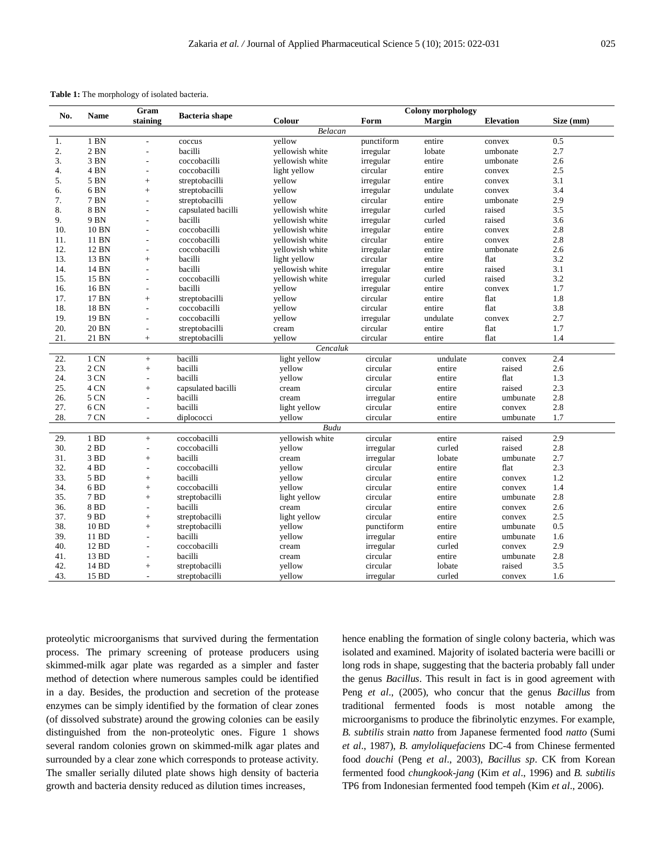|      |                 | Gram                     |                       |                 | <b>Colony morphology</b> |               |                  |           |  |
|------|-----------------|--------------------------|-----------------------|-----------------|--------------------------|---------------|------------------|-----------|--|
| No.  | <b>Name</b>     | staining                 | <b>Bacteria</b> shape | Colour          | Form                     | <b>Margin</b> | <b>Elevation</b> | Size (mm) |  |
|      |                 |                          |                       | Belacan         |                          |               |                  |           |  |
| 1.   | 1 BN            | L.                       | coccus                | vellow          | punctiform               | entire        | convex           | 0.5       |  |
| 2.   | $2$ BN          | $\overline{a}$           | bacilli               | yellowish white | irregular                | lobate        | umbonate         | 2.7       |  |
| 3.   | 3 BN            | L,                       | coccobacilli          | vellowish white | irregular                | entire        | umbonate         | 2.6       |  |
| 4.   | 4 <sub>BN</sub> | $\overline{\phantom{a}}$ | coccobacilli          | light yellow    | circular                 | entire        | convex           | 2.5       |  |
| 5.   | 5 BN            | $^{+}$                   | streptobacilli        | yellow          | irregular                | entire        | convex           | 3.1       |  |
| 6.   | 6 <sub>BN</sub> | $+$                      | streptobacilli        | yellow          | irregular                | undulate      | convex           | 3.4       |  |
| 7.   | 7 BN            | L.                       | streptobacilli        | yellow          | circular                 | entire        | umbonate         | 2.9       |  |
| 8.   | 8 BN            | L.                       | capsulated bacilli    | vellowish white | irregular                | curled        | raised           | 3.5       |  |
| 9.   | 9 BN            | L.                       | bacilli               | vellowish white | irregular                | curled        | raised           | 3.6       |  |
| 10.  | 10 BN           | $\overline{a}$           | coccobacilli          | yellowish white | irregular                | entire        | convex           | 2.8       |  |
| 11.  | 11 BN           | $\overline{\phantom{a}}$ | coccobacilli          | vellowish white | circular                 | entire        | convex           | 2.8       |  |
| 12.  | 12 BN           | $\overline{\phantom{a}}$ | coccobacilli          | vellowish white | irregular                | entire        | umbonate         | 2.6       |  |
| 13.  | 13 BN           | $^{+}$                   | bacilli               | light yellow    | circular                 | entire        | flat             | 3.2       |  |
| 14.  | 14 BN           | $\overline{\phantom{a}}$ | bacilli               | vellowish white | irregular                | entire        | raised           | 3.1       |  |
| 15.  | 15 BN           | $\blacksquare$           | coccobacilli          | yellowish white | irregular                | curled        | raised           | 3.2       |  |
| 16.  | 16 BN           | $\overline{\phantom{a}}$ | bacilli               | yellow          | irregular                | entire        | convex           | 1.7       |  |
| 17.  | 17 BN           | $+$                      | streptobacilli        | yellow          | circular                 | entire        | flat             | 1.8       |  |
| 18.  | 18 BN           | ÷,                       | coccobacilli          | yellow          | circular                 | entire        | flat             | 3.8       |  |
| 19.  | 19 BN           | $\overline{\phantom{a}}$ | coccobacilli          | yellow          | irregular                | undulate      | convex           | 2.7       |  |
| 20.  | 20 BN           | $\overline{a}$           | streptobacilli        | cream           | circular                 | entire        | flat             | 1.7       |  |
| 21.  | 21 BN           | $+$                      | streptobacilli        | yellow          | circular                 | entire        | flat             | 1.4       |  |
|      |                 |                          |                       | Cencaluk        |                          |               |                  |           |  |
| 22.  | $1 \text{ CN}$  | $+$                      | bacilli               | light yellow    | circular                 | undulate      | convex           | 2.4       |  |
| 23.  | 2 CN            | $^{+}$                   | bacilli               | vellow          | circular                 | entire        | raised           | 2.6       |  |
| 24.  | 3 CN            | $\overline{\phantom{a}}$ | bacilli               | vellow          | circular                 | entire        | flat             | 1.3       |  |
| 25.  | 4 CN            | $\ddot{}$                | capsulated bacilli    | cream           | circular                 | entire        | raised           | 2.3       |  |
| 26.  | 5 CN            | ÷,                       | bacilli               | cream           | irregular                | entire        | umbunate         | 2.8       |  |
| 27.  | 6 CN            | $\overline{\phantom{a}}$ | bacilli               | light yellow    | circular                 | entire        | convex           | 2.8       |  |
| 28.  | 7 CN            | $\overline{\phantom{a}}$ | diplococci            | vellow          | circular                 | entire        | umbunate         | 1.7       |  |
| Budu |                 |                          |                       |                 |                          |               |                  |           |  |
| 29.  | 1 <sub>BD</sub> | $+$                      | coccobacilli          | yellowish white | circular                 | entire        | raised           | 2.9       |  |
| 30.  | 2 <sub>BD</sub> | ÷,                       | coccobacilli          | yellow          | irregular                | curled        | raised           | 2.8       |  |
| 31.  | 3 <sub>BD</sub> | $\ddot{}$                | bacilli               | cream           | irregular                | lobate        | umbunate         | 2.7       |  |
| 32.  | 4 <sub>BD</sub> | $\overline{\phantom{a}}$ | coccobacilli          | yellow          | circular                 | entire        | flat             | 2.3       |  |
| 33.  | 5 BD            | $\ddot{}$                | bacilli               | yellow          | circular                 | entire        | convex           | 1.2       |  |
| 34.  | 6 <sub>BD</sub> | $\ddot{}$                | coccobacilli          | yellow          | circular                 | entire        | convex           | 1.4       |  |
| 35.  | 7 <sub>BD</sub> | $^{+}$                   | streptobacilli        | light yellow    | circular                 | entire        | umbunate         | 2.8       |  |
| 36.  | 8 BD            | $\overline{a}$           | bacilli               | cream           | circular                 | entire        | convex           | 2.6       |  |
| 37.  | 9 BD            | $+$                      | streptobacilli        | light yellow    | circular                 | entire        | convex           | 2.5       |  |
| 38.  | 10 BD           | $+$                      | streptobacilli        | yellow          | punctiform               | entire        | umbunate         | 0.5       |  |
| 39.  | 11 BD           | $\overline{a}$           | bacilli               | yellow          | irregular                | entire        | umbunate         | 1.6       |  |
| 40.  | 12 BD           | $\overline{\phantom{a}}$ | coccobacilli          | cream           | irregular                | curled        | convex           | 2.9       |  |
| 41.  | 13 BD           | $\overline{a}$           | bacilli               | cream           | circular                 | entire        | umbunate         | 2.8       |  |
| 42.  | 14 BD           | $^{+}$                   | streptobacilli        | yellow          | circular                 | lobate        | raised           | 3.5       |  |
| 43.  | 15 BD           |                          | streptobacilli        | vellow          | irregular                | curled        | convex           | 1.6       |  |
|      |                 |                          |                       |                 |                          |               |                  |           |  |

proteolytic microorganisms that survived during the fermentation process. The primary screening of protease producers using skimmed-milk agar plate was regarded as a simpler and faster method of detection where numerous samples could be identified in a day. Besides, the production and secretion of the protease enzymes can be simply identified by the formation of clear zones (of dissolved substrate) around the growing colonies can be easily distinguished from the non-proteolytic ones. Figure 1 shows several random colonies grown on skimmed-milk agar plates and surrounded by a clear zone which corresponds to protease activity. The smaller serially diluted plate shows high density of bacteria growth and bacteria density reduced as dilution times increases,

hence enabling the formation of single colony bacteria, which was isolated and examined. Majority of isolated bacteria were bacilli or long rods in shape, suggesting that the bacteria probably fall under the genus *Bacillus*. This result in fact is in good agreement with Peng *et al*., (2005), who concur that the genus *Bacillus* from traditional fermented foods is most notable among the microorganisms to produce the fibrinolytic enzymes. For example, *B. subtilis* strain *natto* from Japanese fermented food *natto* (Sumi *et al*., 1987), *B. amyloliquefaciens* DC-4 from Chinese fermented food *douchi* (Peng *et al*., 2003), *Bacillus sp*. CK from Korean fermented food *chungkook-jang* (Kim *et al*., 1996) and *B. subtilis* TP6 from Indonesian fermented food tempeh (Kim *et al*., 2006).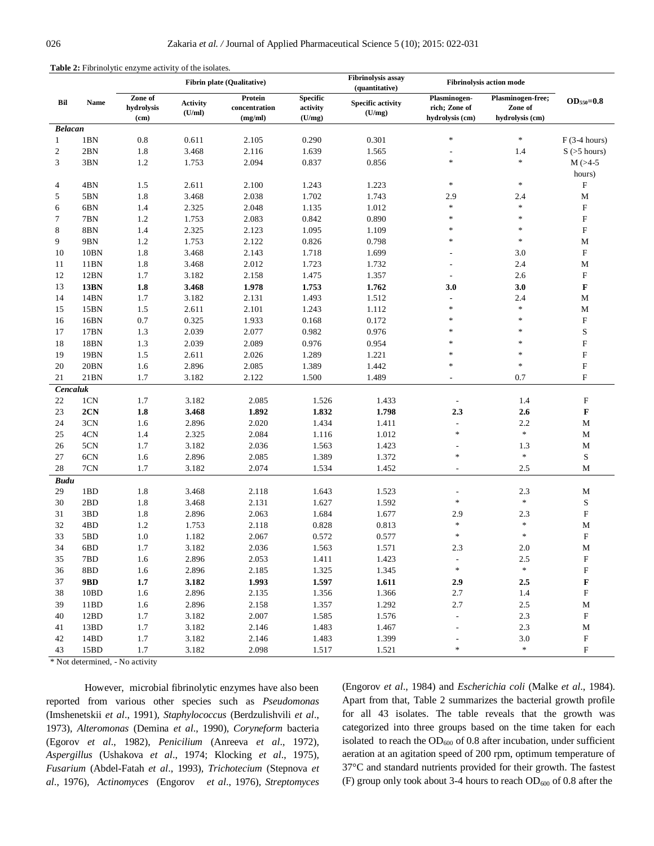|                |                  |                               |                           | <b>Fibrin plate (Qualitative)</b>   |                                       | <b>Fibrinolysis assay</b><br>(quantitative) | <b>Fibrinolysis action mode</b>                  |                                                 |                           |
|----------------|------------------|-------------------------------|---------------------------|-------------------------------------|---------------------------------------|---------------------------------------------|--------------------------------------------------|-------------------------------------------------|---------------------------|
| Bil            | <b>Name</b>      | Zone of<br>hydrolysis<br>(cm) | <b>Activity</b><br>(U/ml) | Protein<br>concentration<br>(mg/ml) | <b>Specific</b><br>activity<br>(U/mg) | <b>Specific activity</b><br>(U/mg)          | Plasminogen-<br>rich; Zone of<br>hydrolysis (cm) | Plasminogen-free;<br>Zone of<br>hydrolysis (cm) | $OD_{550} = 0.8$          |
| <b>Belacan</b> |                  |                               |                           |                                     |                                       |                                             |                                                  |                                                 |                           |
| $\mathbf{1}$   | 1BN              | 0.8                           | 0.611                     | 2.105                               | 0.290                                 | 0.301                                       | $\ast$                                           | $\ast$                                          | $F(3-4 hours)$            |
| $\overline{c}$ | 2BN              | 1.8                           | 3.468                     | 2.116                               | 1.639                                 | 1.565                                       | $\overline{a}$                                   | 1.4                                             | $S$ ( $>5$ hours)         |
| 3              | 3BN              | 1.2                           | 1.753                     | 2.094                               | 0.837                                 | 0.856                                       | $\ast$                                           | $\ast$                                          | $M$ ( $>4-5$              |
|                |                  |                               |                           |                                     |                                       |                                             |                                                  |                                                 | hours)                    |
| 4              | 4BN              | 1.5                           | 2.611                     | 2.100                               | 1.243                                 | 1.223                                       | $\frac{1}{2}$                                    | $\ast$                                          | F                         |
| 5              | 5BN              | 1.8                           | 3.468                     | 2.038                               | 1.702                                 | 1.743                                       | 2.9                                              | 2.4                                             | $\mathbf M$               |
| 6              | 6BN              | 1.4                           | 2.325                     | 2.048                               | 1.135                                 | 1.012                                       | $\frac{1}{2}$                                    | $\ast$                                          | ${\bf F}$                 |
| 7              | 7BN              | 1.2                           | 1.753                     | 2.083                               | 0.842                                 | 0.890                                       | $\ast$                                           | $\frac{1}{2}$                                   | ${\rm F}$                 |
| 8              | 8BN              | 1.4                           | 2.325                     | 2.123                               | 1.095                                 | 1.109                                       | $\frac{1}{2}$                                    | $\ast$                                          | ${\bf F}$                 |
| 9              | 9BN              | 1.2                           | 1.753                     | 2.122                               | 0.826                                 | 0.798                                       | $\ast$                                           | $\frac{1}{2}$                                   | M                         |
| 10             | 10BN             | 1.8                           | 3.468                     | 2.143                               | 1.718                                 | 1.699                                       |                                                  | 3.0                                             | ${\rm F}$                 |
| 11             | 11BN             | 1.8                           | 3.468                     | 2.012                               | 1.723                                 | 1.732                                       | $\overline{a}$                                   | 2.4                                             | $\mathbf M$               |
| 12             | 12BN             | 1.7                           | 3.182                     | 2.158                               | 1.475                                 | 1.357                                       | $\overline{\phantom{a}}$                         | 2.6                                             | ${\rm F}$                 |
| 13             | <b>13BN</b>      | 1.8                           | 3.468                     | 1.978                               | 1.753                                 | 1.762                                       | 3.0                                              | 3.0                                             | $\mathbf F$               |
| 14             | 14BN             | 1.7                           | 3.182                     | 2.131                               | 1.493                                 | 1.512                                       | $\overline{a}$                                   | 2.4                                             | M                         |
| 15             | 15BN             | 1.5                           | 2.611                     | 2.101                               | 1.243                                 | 1.112                                       | $\ast$                                           | $\ast$                                          | $\mathbf M$               |
| 16             | 16BN             | 0.7                           | 0.325                     | 1.933                               | 0.168                                 | 0.172                                       | $\ast$                                           | $\ast$                                          | ${\rm F}$                 |
| 17             | 17BN             | 1.3                           | 2.039                     | 2.077                               | 0.982                                 | 0.976                                       | $\ast$                                           | $\ast$                                          | $\mathbf S$               |
| 18             | 18BN             | 1.3                           | 2.039                     | 2.089                               | 0.976                                 | 0.954                                       | $\ast$                                           | $\frac{1}{2}$                                   | ${\bf F}$                 |
| 19             | 19BN             | 1.5                           | 2.611                     | 2.026                               | 1.289                                 | 1.221                                       | $\frac{1}{2}$                                    | $\frac{1}{2}$                                   | ${\rm F}$                 |
| 20             | 20BN             | 1.6                           | 2.896                     | 2.085                               | 1.389                                 | 1.442                                       | $\ast$                                           | $\frac{1}{2}$                                   | ${\rm F}$                 |
| 21             | 21B <sub>N</sub> | 1.7                           | 3.182                     | 2.122                               | 1.500                                 | 1.489                                       |                                                  | 0.7                                             | $\mathbf F$               |
| Cencaluk       |                  |                               |                           |                                     |                                       |                                             |                                                  |                                                 |                           |
| 22             | 1CN              | 1.7                           | 3.182                     | 2.085                               | 1.526                                 | 1.433                                       |                                                  | 1.4                                             | $_{\rm F}$                |
| 23             | 2CN              | 1.8                           | 3.468                     | 1.892                               | 1.832                                 | 1.798                                       | 2.3                                              | 2.6                                             | $\mathbf F$               |
| 24             | 3CN              | 1.6                           | 2.896                     | 2.020                               | 1.434                                 | 1.411                                       | $\overline{\phantom{0}}$                         | 2.2                                             | М                         |
| 25             | 4CN              | 1.4                           | 2.325                     | 2.084                               | 1.116                                 | 1.012                                       | $\ast$                                           | $\frac{1}{2}$                                   | $\mathbf M$               |
| 26             | 5CN              | 1.7                           | 3.182                     | 2.036                               | 1.563                                 | 1.423                                       |                                                  | 1.3                                             | М                         |
| 27             | 6CN              | 1.6                           | 2.896                     | 2.085                               | 1.389                                 | 1.372                                       | $\ast$                                           | $\ast$                                          | S                         |
| 28             | 7CN              | 1.7                           | 3.182                     | 2.074                               | 1.534                                 | 1.452                                       | $\overline{\phantom{a}}$                         | 2.5                                             | М                         |
| <b>Budu</b>    |                  |                               |                           |                                     |                                       |                                             |                                                  |                                                 |                           |
| 29             | 1BD              | 1.8                           | 3.468                     | 2.118                               | 1.643                                 | 1.523                                       | $\overline{\phantom{a}}$                         | 2.3                                             | М                         |
| 30             | 2BD              | 1.8                           | 3.468                     | 2.131                               | 1.627                                 | 1.592                                       | $\ast$                                           | $\ast$                                          | S                         |
| 31             | 3BD              | 1.8                           | 2.896                     | 2.063                               | 1.684                                 | 1.677                                       | 2.9                                              | 2.3                                             | $\boldsymbol{\mathrm{F}}$ |
| 32             | 4BD              | 1.2                           | 1.753                     | 2.118                               | 0.828                                 | 0.813                                       | $\ast$                                           | $\ast$                                          | $\mathbf M$               |
| 33             | 5BD              | 1.0                           | 1.182                     | 2.067                               | 0.572                                 | 0.577                                       | $\ast$                                           | $\ast$                                          | ${\rm F}$                 |
| 34             | 6BD              | 1.7                           | 3.182                     | 2.036                               | 1.563                                 | 1.571                                       | 2.3                                              | 2.0                                             | М                         |
| 35             | 7BD              | 1.6                           | 2.896                     | 2.053                               | 1.411                                 | 1.423                                       |                                                  | 2.5                                             | F                         |
| 36             | 8BD              | 1.6                           | 2.896                     | 2.185                               | 1.325                                 | 1.345                                       | $\ast$                                           | $\ast$                                          | $\boldsymbol{\mathrm{F}}$ |
| 37             | 9BD              | 1.7                           | 3.182                     | 1.993                               | 1.597                                 | 1.611                                       | 2.9                                              | 2.5                                             | F                         |
| 38             | 10BD             | 1.6                           | 2.896                     | 2.135                               | 1.356                                 | 1.366                                       | 2.7                                              | 1.4                                             | $\boldsymbol{\mathrm{F}}$ |
| 39             | 11BD             | 1.6                           | 2.896                     | 2.158                               | 1.357                                 | 1.292                                       | 2.7                                              | $2.5\,$                                         | M                         |
| 40             | 12BD             | 1.7                           | 3.182                     | 2.007                               | 1.585                                 | 1.576                                       |                                                  | 2.3                                             | F                         |
| 41             | 13BD             | 1.7                           | 3.182                     | 2.146                               | 1.483                                 | 1.467                                       |                                                  | 2.3                                             | M                         |
| 42             | 14BD             | 1.7                           | 3.182                     | 2.146                               | 1.483                                 | 1.399                                       |                                                  | $3.0\,$                                         | $\boldsymbol{\mathrm{F}}$ |
| 43             | 15BD             | 1.7                           | 3.182                     | 2.098                               | 1.517                                 | 1.521                                       | $\ast$                                           | $\frac{1}{2} \xi$                               | $\boldsymbol{\mathrm{F}}$ |

#### **Table 2:** Fibrinolytic enzyme activity of the isolates.

\* Not determined, - No activity

However, microbial fibrinolytic enzymes have also been reported from various other species such as *Pseudomonas* (Imshenetskii *et al*., 1991)*, Staphylococcus* (Berdzulishvili *et al*., 1973)*, Alteromonas* (Demina *et al*., 1990)*, Coryneform* bacteria (Egorov *et al*., 1982), *Penicilium* (Anreeva *et al*., 1972)*, Aspergillus* (Ushakova *et al*., 1974; Klocking *et al*., 1975)*, Fusarium* (Abdel-Fatah *et al*., 1993)*, Trichotecium* (Stepnova *et al*., 1976)*, Actinomyces* (Engorov *et al*., 1976)*, Streptomyces*  (Engorov *et al*., 1984) and *Escherichia coli* (Malke *et al*., 1984). Apart from that, Table 2 summarizes the bacterial growth profile for all 43 isolates. The table reveals that the growth was categorized into three groups based on the time taken for each isolated to reach the  $OD_{600}$  of 0.8 after incubation, under sufficient aeration at an agitation speed of 200 rpm, optimum temperature of 37°C and standard nutrients provided for their growth. The fastest (F) group only took about 3-4 hours to reach  $OD_{600}$  of 0.8 after the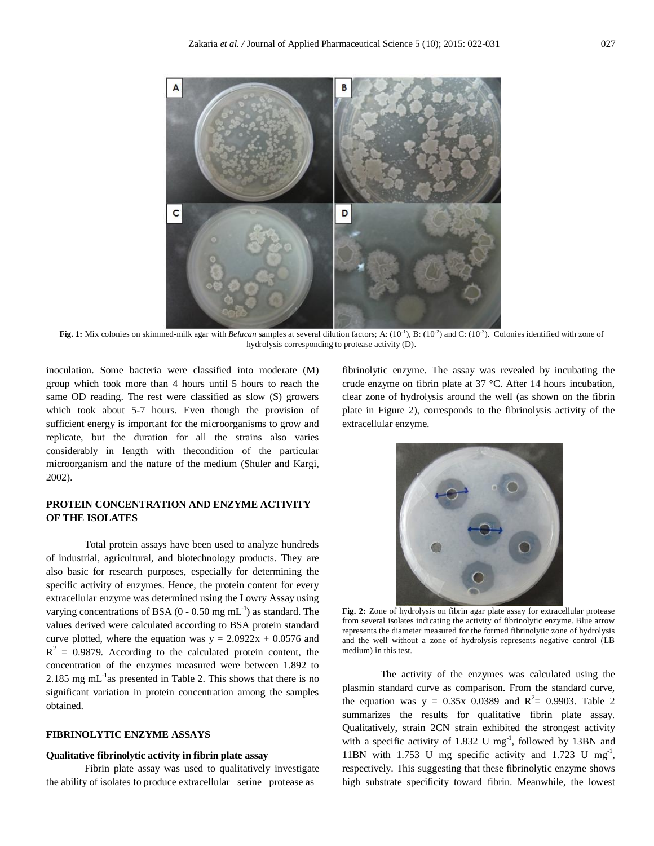

Fig. 1: Mix colonies on skimmed-milk agar with *Belacan* samples at several dilution factors; A:  $(10^{-1})$ , B:  $(10^{-2})$  and C:  $(10^{-3})$ . Colonies identified with zone of hydrolysis corresponding to protease activity (D).

inoculation. Some bacteria were classified into moderate (M) group which took more than 4 hours until 5 hours to reach the same OD reading. The rest were classified as slow (S) growers which took about 5-7 hours. Even though the provision of sufficient energy is important for the microorganisms to grow and replicate, but the duration for all the strains also varies considerably in length with thecondition of the particular microorganism and the nature of the medium (Shuler and Kargi, 2002).

# **PROTEIN CONCENTRATION AND ENZYME ACTIVITY OF THE ISOLATES**

Total protein assays have been used to analyze hundreds of industrial, agricultural, and biotechnology products. They are also basic for research purposes, especially for determining the specific activity of enzymes. Hence, the protein content for every extracellular enzyme was determined using the Lowry Assay using varying concentrations of BSA (0 - 0.50 mg  $mL^{-1}$ ) as standard. The values derived were calculated according to BSA protein standard curve plotted, where the equation was  $y = 2.0922x + 0.0576$  and  $R<sup>2</sup> = 0.9879$ . According to the calculated protein content, the concentration of the enzymes measured were between 1.892 to 2.185 mg mL<sup>-1</sup>as presented in Table 2. This shows that there is no significant variation in protein concentration among the samples obtained.

# **FIBRINOLYTIC ENZYME ASSAYS**

#### **Qualitative fibrinolytic activity in fibrin plate assay**

Fibrin plate assay was used to qualitatively investigate the ability of isolates to produce extracellular serine protease as

fibrinolytic enzyme. The assay was revealed by incubating the crude enzyme on fibrin plate at 37 °C. After 14 hours incubation, clear zone of hydrolysis around the well (as shown on the fibrin plate in Figure 2), corresponds to the fibrinolysis activity of the extracellular enzyme.



**Fig. 2:** Zone of hydrolysis on fibrin agar plate assay for extracellular protease from several isolates indicating the activity of fibrinolytic enzyme. Blue arrow represents the diameter measured for the formed fibrinolytic zone of hydrolysis and the well without a zone of hydrolysis represents negative control (LB medium) in this test.

The activity of the enzymes was calculated using the plasmin standard curve as comparison. From the standard curve, the equation was  $y = 0.35x$  0.0389 and  $R^2 = 0.9903$ . Table 2 summarizes the results for qualitative fibrin plate assay. Qualitatively, strain 2CN strain exhibited the strongest activity with a specific activity of  $1.832$  U mg<sup>-1</sup>, followed by 13BN and 11BN with 1.753 U mg specific activity and 1.723 U mg<sup>-1</sup>, respectively. This suggesting that these fibrinolytic enzyme shows high substrate specificity toward fibrin. Meanwhile, the lowest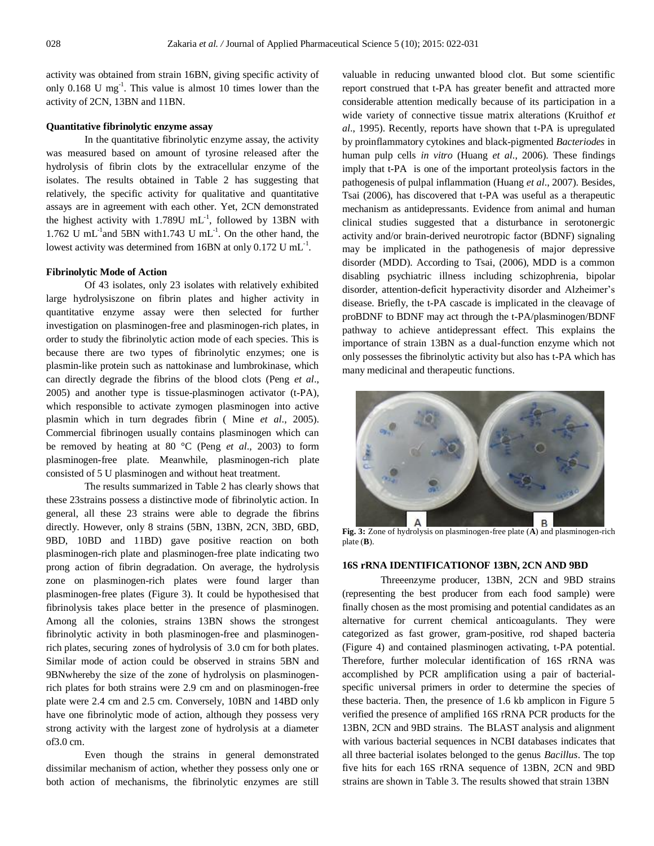activity was obtained from strain 16BN, giving specific activity of only 0.168 U mg<sup>-1</sup>. This value is almost 10 times lower than the activity of 2CN, 13BN and 11BN.

#### **Quantitative fibrinolytic enzyme assay**

In the quantitative fibrinolytic enzyme assay, the activity was measured based on amount of tyrosine released after the hydrolysis of fibrin clots by the extracellular enzyme of the isolates. The results obtained in Table 2 has suggesting that relatively, the specific activity for qualitative and quantitative assays are in agreement with each other. Yet, 2CN demonstrated the highest activity with  $1.789U$  mL<sup>-1</sup>, followed by 13BN with 1.762 U mL<sup>-1</sup> and 5BN with 1.743 U mL<sup>-1</sup>. On the other hand, the lowest activity was determined from  $16BN$  at only  $0.172$  U mL<sup>-1</sup>.

#### **Fibrinolytic Mode of Action**

Of 43 isolates, only 23 isolates with relatively exhibited large hydrolysiszone on fibrin plates and higher activity in quantitative enzyme assay were then selected for further investigation on plasminogen-free and plasminogen-rich plates, in order to study the fibrinolytic action mode of each species. This is because there are two types of fibrinolytic enzymes; one is plasmin-like protein such as nattokinase and lumbrokinase, which can directly degrade the fibrins of the blood clots (Peng *et al*., 2005) and another type is tissue-plasminogen activator (t-PA), which responsible to activate zymogen plasminogen into active plasmin which in turn degrades fibrin ( Mine *et al*., 2005). Commercial fibrinogen usually contains plasminogen which can be removed by heating at 80 °C (Peng *et al*., 2003) to form plasminogen-free plate. Meanwhile, plasminogen-rich plate consisted of 5 U plasminogen and without heat treatment.

The results summarized in Table 2 has clearly shows that these 23strains possess a distinctive mode of fibrinolytic action. In general, all these 23 strains were able to degrade the fibrins directly. However, only 8 strains (5BN, 13BN, 2CN, 3BD, 6BD, 9BD, 10BD and 11BD) gave positive reaction on both plasminogen-rich plate and plasminogen-free plate indicating two prong action of fibrin degradation. On average, the hydrolysis zone on plasminogen-rich plates were found larger than plasminogen-free plates (Figure 3). It could be hypothesised that fibrinolysis takes place better in the presence of plasminogen. Among all the colonies, strains 13BN shows the strongest fibrinolytic activity in both plasminogen-free and plasminogenrich plates, securing zones of hydrolysis of 3.0 cm for both plates. Similar mode of action could be observed in strains 5BN and 9BNwhereby the size of the zone of hydrolysis on plasminogenrich plates for both strains were 2.9 cm and on plasminogen-free plate were 2.4 cm and 2.5 cm. Conversely, 10BN and 14BD only have one fibrinolytic mode of action, although they possess very strong activity with the largest zone of hydrolysis at a diameter of3.0 cm.

Even though the strains in general demonstrated dissimilar mechanism of action, whether they possess only one or both action of mechanisms, the fibrinolytic enzymes are still valuable in reducing unwanted blood clot. But some scientific report construed that t-PA has greater benefit and attracted more considerable attention medically because of its participation in a wide variety of connective tissue matrix alterations (Kruithof *et al*., 1995). Recently, reports have shown that t-PA is upregulated by proinflammatory cytokines and black-pigmented *Bacteriodes* in human pulp cells *in vitro* (Huang *et al*., 2006). These findings imply that t-PA is one of the important proteolysis factors in the pathogenesis of pulpal inflammation (Huang *et al*., 2007). Besides, Tsai (2006), has discovered that t-PA was useful as a therapeutic mechanism as antidepressants. Evidence from animal and human clinical studies suggested that a disturbance in serotonergic activity and/or brain-derived neurotropic factor (BDNF) signaling may be implicated in the pathogenesis of major depressive disorder (MDD). According to Tsai, (2006), MDD is a common disabling psychiatric illness including schizophrenia, bipolar disorder, attention-deficit hyperactivity disorder and Alzheimer's disease. Briefly, the t-PA cascade is implicated in the cleavage of proBDNF to BDNF may act through the t-PA/plasminogen/BDNF pathway to achieve antidepressant effect. This explains the importance of strain 13BN as a dual-function enzyme which not only possesses the fibrinolytic activity but also has t-PA which has many medicinal and therapeutic functions.



**Fig. 3:** Zone of hydrolysis on plasminogen-free plate (**A**) and plasminogen-rich plate (**B**).

# **16S rRNA IDENTIFICATIONOF 13BN, 2CN AND 9BD**

Threeenzyme producer, 13BN, 2CN and 9BD strains (representing the best producer from each food sample) were finally chosen as the most promising and potential candidates as an alternative for current chemical anticoagulants. They were categorized as fast grower, gram-positive, rod shaped bacteria (Figure 4) and contained plasminogen activating, t-PA potential. Therefore, further molecular identification of 16S rRNA was accomplished by PCR amplification using a pair of bacterialspecific universal primers in order to determine the species of these bacteria. Then, the presence of 1.6 kb amplicon in Figure 5 verified the presence of amplified 16S rRNA PCR products for the 13BN, 2CN and 9BD strains. The BLAST analysis and alignment with various bacterial sequences in NCBI databases indicates that all three bacterial isolates belonged to the genus *Bacillus*. The top five hits for each 16S rRNA sequence of 13BN, 2CN and 9BD strains are shown in Table 3. The results showed that strain 13BN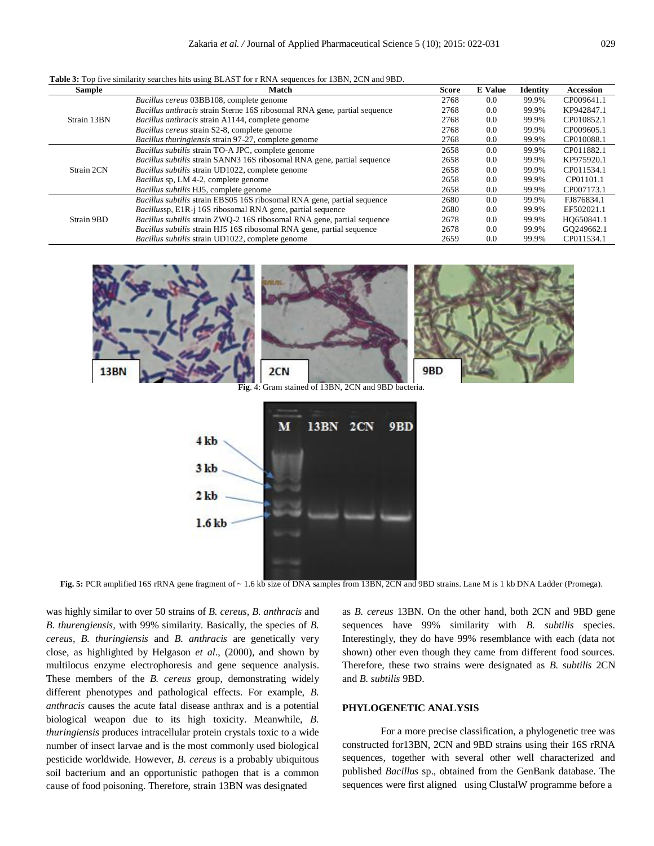| <b>Table 3:</b> Top five similarity searches hits using BLAST for r RNA sequences for 13BN, 2CN and 9BD. |
|----------------------------------------------------------------------------------------------------------|
|----------------------------------------------------------------------------------------------------------|

| <b>Sample</b> | Match                                                                          | Score | <b>E</b> Value | Identity | <b>Accession</b> |
|---------------|--------------------------------------------------------------------------------|-------|----------------|----------|------------------|
|               | Bacillus cereus 03BB108, complete genome                                       | 2768  | 0.0            | 99.9%    | CP009641.1       |
|               | Bacillus anthracis strain Sterne 16S ribosomal RNA gene, partial sequence      | 2768  | 0.0            | 99.9%    | KP942847.1       |
| Strain 13BN   | <i>Bacillus anthracis</i> strain A1144, complete genome                        | 2768  | 0.0            | 99.9%    | CP010852.1       |
|               | Bacillus cereus strain S2-8, complete genome                                   | 2768  | 0.0            | 99.9%    | CP009605.1       |
|               | Bacillus thuringiensis strain 97-27, complete genome                           | 2768  | 0.0            | 99.9%    | CP010088.1       |
|               | Bacillus subtilis strain TO-A JPC, complete genome                             | 2658  | 0.0            | 99.9%    | CP011882.1       |
|               | <i>Bacillus subtilis strain SANN3 16S ribosomal RNA gene, partial sequence</i> | 2658  | 0.0            | 99.9%    | KP975920.1       |
| Strain 2CN    | <i>Bacillus subtilis</i> strain UD1022, complete genome                        | 2658  | 0.0            | 99.9%    | CP011534.1       |
|               | <i>Bacillus</i> sp, LM 4-2, complete genome                                    | 2658  | 0.0            | 99.9%    | CP01101.1        |
|               | <i>Bacillus subtilis</i> HJ5, complete genome                                  | 2658  | 0.0            | 99.9%    | CP007173.1       |
|               | <i>Bacillus subtilis strain EBS05 16S ribosomal RNA gene, partial sequence</i> | 2680  | 0.0            | 99.9%    | FJ876834.1       |
|               | <i>Bacillussp</i> , E1R-j 16S ribosomal RNA gene, partial sequence             | 2680  | 0.0            | 99.9%    | EF502021.1       |
| Strain 9BD    | <i>Bacillus subtilis strain ZWO-2 16S ribosomal RNA gene, partial sequence</i> | 2678  | 0.0            | 99.9%    | HO650841.1       |
|               | <i>Bacillus subtilis strain HJ5</i> 16S ribosomal RNA gene, partial sequence   | 2678  | 0.0            | 99.9%    | GO249662.1       |
|               | Bacillus subtilis strain UD1022, complete genome                               | 2659  | 0.0            | 99.9%    | CP011534.1       |



**Fig. 5:** PCR amplified 16S rRNA gene fragment of ~ 1.6 kb size of DNA samples from 13BN, 2CN and 9BD strains. Lane M is 1 kb DNA Ladder (Promega).

was highly similar to over 50 strains of *B. cereus, B. anthracis* and *B. thurengiensis,* with 99% similarity. Basically, the species of *B. cereus, B. thuringiensis* and *B. anthracis* are genetically very close, as highlighted by Helgason *et al*., (2000), and shown by multilocus enzyme electrophoresis and gene sequence analysis. These members of the *B. cereus* group, demonstrating widely different phenotypes and pathological effects. For example, *B. anthracis* causes the acute fatal disease anthrax and is a potential biological weapon due to its high toxicity. Meanwhile, *B. thuringiensis* produces intracellular protein crystals toxic to a wide number of insect larvae and is the most commonly used biological pesticide worldwide. However, *B. cereus* is a probably ubiquitous soil bacterium and an opportunistic pathogen that is a common cause of food poisoning. Therefore, strain 13BN was designated

 $1.6$  kb

as *B. cereus* 13BN*.* On the other hand, both 2CN and 9BD gene sequences have 99% similarity with *B. subtilis* species. Interestingly, they do have 99% resemblance with each (data not shown) other even though they came from different food sources. Therefore, these two strains were designated as *B. subtilis* 2CN and *B. subtilis* 9BD.

#### **PHYLOGENETIC ANALYSIS**

For a more precise classification, a phylogenetic tree was constructed for13BN, 2CN and 9BD strains using their 16S rRNA sequences, together with several other well characterized and published *Bacillus* sp., obtained from the GenBank database. The sequences were first aligned using ClustalW programme before a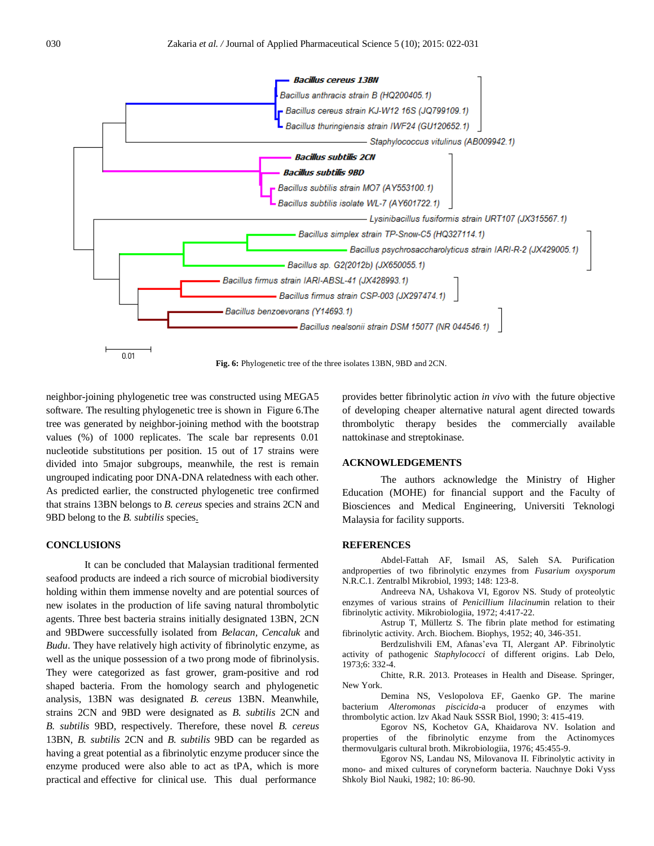

**Fig. 6:** Phylogenetic tree of the three isolates 13BN, 9BD and 2CN.

neighbor-joining phylogenetic tree was constructed using MEGA5 software. The resulting phylogenetic tree is shown in Figure 6.The tree was generated by neighbor-joining method with the bootstrap values (%) of 1000 replicates. The scale bar represents 0.01 nucleotide substitutions per position. 15 out of 17 strains were divided into 5major subgroups, meanwhile, the rest is remain ungrouped indicating poor DNA-DNA relatedness with each other. As predicted earlier, the constructed phylogenetic tree confirmed that strains 13BN belongs to *B. cereus* species and strains 2CN and 9BD belong to the *B. subtilis* species.

# **CONCLUSIONS**

It can be concluded that Malaysian traditional fermented seafood products are indeed a rich source of microbial biodiversity holding within them immense novelty and are potential sources of new isolates in the production of life saving natural thrombolytic agents. Three best bacteria strains initially designated 13BN, 2CN and 9BDwere successfully isolated from *Belacan, Cencaluk* and *Budu*. They have relatively high activity of fibrinolytic enzyme, as well as the unique possession of a two prong mode of fibrinolysis. They were categorized as fast grower, gram-positive and rod shaped bacteria. From the homology search and phylogenetic analysis, 13BN was designated *B. cereus* 13BN. Meanwhile, strains 2CN and 9BD were designated as *B. subtilis* 2CN and *B. subtilis* 9BD, respectively. Therefore, these novel *B. cereus* 13BN, *B. subtilis* 2CN and *B. subtilis* 9BD can be regarded as having a great potential as a fibrinolytic enzyme producer since the enzyme produced were also able to act as tPA, which is more practical and effective for clinical use. This dual performance

provides better fibrinolytic action *in vivo* with the future objective of developing cheaper alternative natural agent directed towards thrombolytic therapy besides the commercially available nattokinase and streptokinase.

#### **ACKNOWLEDGEMENTS**

The authors acknowledge the Ministry of Higher Education (MOHE) for financial support and the Faculty of Biosciences and Medical Engineering, Universiti Teknologi Malaysia for facility supports.

# **REFERENCES**

Abdel-Fattah AF, Ismail AS, Saleh SA. Purification andproperties of two fibrinolytic enzymes from *Fusarium oxysporum* N.R.C.1. Zentralbl Mikrobiol, 1993; 148: 123-8.

Andreeva NA, Ushakova VI, Egorov NS. Study of proteolytic enzymes of various strains of *Penicillium lilacinum*in relation to their fibrinolytic activity. Mikrobiologiia, 1972; 4:417-22.

Astrup T, Müllertz S. The fibrin plate method for estimating fibrinolytic activity. Arch. Biochem. Biophys, 1952; 40, 346-351.

Berdzulishvili EM, Afanas'eva TI, Alergant AP. Fibrinolytic activity of pathogenic *Staphylococci* of different origins. Lab Delo, 1973;6: 332-4.

Chitte, R.R. 2013. Proteases in Health and Disease. Springer, New York.

Demina NS, Veslopolova EF, Gaenko GP. The marine bacterium *Alteromonas piscicida*-a producer of enzymes with thrombolytic action. lzv Akad Nauk SSSR Biol, 1990; 3: 415-419.

Egorov NS, Kochetov GA, Khaidarova NV. Isolation and properties of the fibrinolytic enzyme from the Actinomyces thermovulgaris cultural broth. Mikrobiologiia, 1976; 45:455-9.

Egorov NS, Landau NS, Milovanova II. Fibrinolytic activity in mono- and mixed cultures of coryneform bacteria. Nauchnye Doki Vyss Shkoly Biol Nauki, 1982; 10: 86-90.